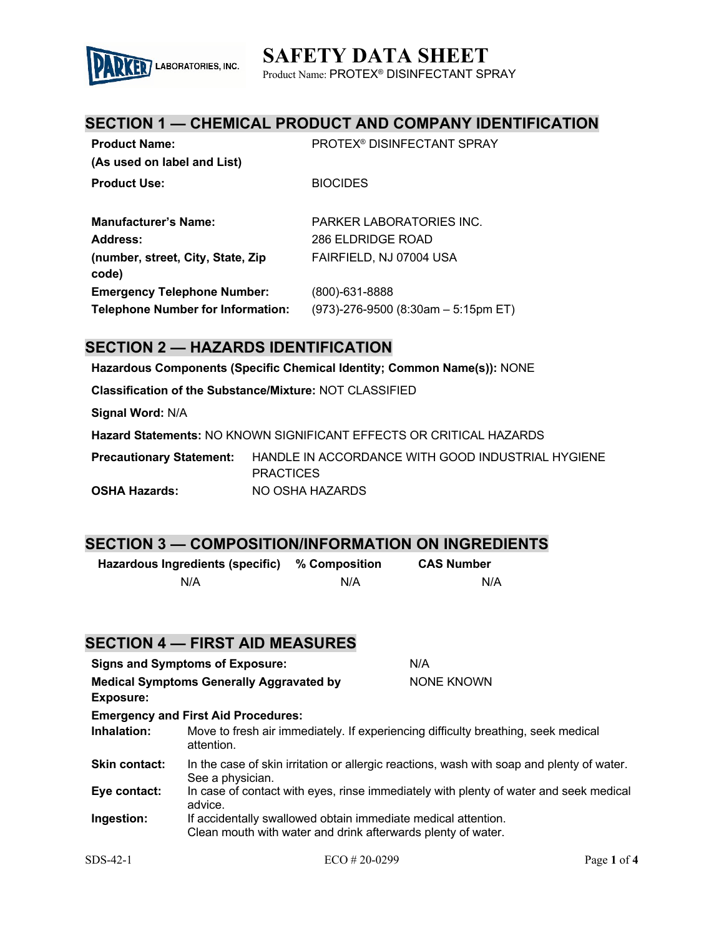# **SAFETY DATA SHEET**



Product Name: PROTEX® DISINFECTANT SPRAY

### **SECTION 1 — CHEMICAL PRODUCT AND COMPANY IDENTIFICATION**

| <b>Product Name:</b>                     | <b>PROTEX<sup>®</sup> DISINFECTANT SPRAY</b> |
|------------------------------------------|----------------------------------------------|
| (As used on label and List)              |                                              |
| <b>Product Use:</b>                      | <b>BIOCIDES</b>                              |
|                                          |                                              |
| <b>Manufacturer's Name:</b>              | PARKER LABORATORIES INC.                     |
| Address:                                 | 286 ELDRIDGE ROAD                            |
| (number, street, City, State, Zip        | FAIRFIELD, NJ 07004 USA                      |
| code)                                    |                                              |
| <b>Emergency Telephone Number:</b>       | (800)-631-8888                               |
| <b>Telephone Number for Information:</b> | (973)-276-9500 (8:30am – 5:15pm ET)          |

### **SECTION 2 — HAZARDS IDENTIFICATION**

**Hazardous Components (Specific Chemical Identity; Common Name(s)):** NONE

**Classification of the Substance/Mixture:** NOT CLASSIFIED

**Signal Word:** N/A

**Hazard Statements:** NO KNOWN SIGNIFICANT EFFECTS OR CRITICAL HAZARDS

**Precautionary Statement:** HANDLE IN ACCORDANCE WITH GOOD INDUSTRIAL HYGIENE **PRACTICES OSHA Hazards:** NO OSHA HAZARDS

### **SECTION 3 — COMPOSITION/INFORMATION ON INGREDIENTS**

| Hazardous Ingredients (specific) | % Composition | <b>CAS Number</b> |
|----------------------------------|---------------|-------------------|
| N/A                              | N/A           | N/A               |

### **SECTION 4 — FIRST AID MEASURES**

| <b>Signs and Symptoms of Exposure:</b> |                                                                                                                               | N/A               |
|----------------------------------------|-------------------------------------------------------------------------------------------------------------------------------|-------------------|
|                                        | <b>Medical Symptoms Generally Aggravated by</b>                                                                               | <b>NONE KNOWN</b> |
| <b>Exposure:</b>                       |                                                                                                                               |                   |
|                                        | <b>Emergency and First Aid Procedures:</b>                                                                                    |                   |
| Inhalation:                            | Move to fresh air immediately. If experiencing difficulty breathing, seek medical<br>attention.                               |                   |
| <b>Skin contact:</b>                   | In the case of skin irritation or allergic reactions, wash with soap and plenty of water.<br>See a physician.                 |                   |
| Eye contact:                           | In case of contact with eyes, rinse immediately with plenty of water and seek medical<br>advice.                              |                   |
| Ingestion:                             | If accidentally swallowed obtain immediate medical attention.<br>Clean mouth with water and drink afterwards plenty of water. |                   |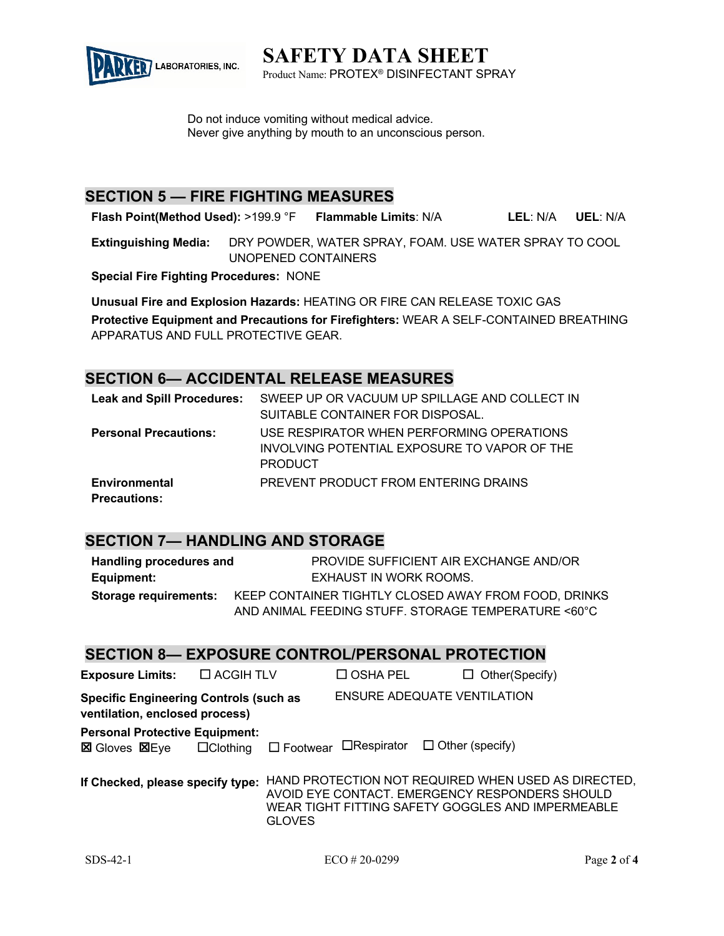

**SAFETY DATA SHEET** Product Name: PROTEX® DISINFECTANT SPRAY

Do not induce vomiting without medical advice. Never give anything by mouth to an unconscious person.

## **SECTION 5 — FIRE FIGHTING MEASURES**

**Flash Point(Method Used):** >199.9 °F **Flammable Limits**: N/A **LEL**: N/A **UEL**: N/A

**Extinguishing Media:** DRY POWDER, WATER SPRAY, FOAM. USE WATER SPRAY TO COOL UNOPENED CONTAINERS

**Special Fire Fighting Procedures:** NONE

**Unusual Fire and Explosion Hazards:** HEATING OR FIRE CAN RELEASE TOXIC GAS **Protective Equipment and Precautions for Firefighters:** WEAR A SELF-CONTAINED BREATHING APPARATUS AND FULL PROTECTIVE GEAR.

### **SECTION 6— ACCIDENTAL RELEASE MEASURES**

| <b>Leak and Spill Procedures:</b> | SWEEP UP OR VACUUM UP SPILLAGE AND COLLECT IN |
|-----------------------------------|-----------------------------------------------|
|                                   | SUITABLE CONTAINER FOR DISPOSAL.              |
| <b>Personal Precautions:</b>      | USE RESPIRATOR WHEN PERFORMING OPERATIONS     |
|                                   | INVOLVING POTENTIAL EXPOSURE TO VAPOR OF THE  |
|                                   | <b>PRODUCT</b>                                |
| <b>Environmental</b>              | PREVENT PRODUCT FROM ENTERING DRAINS          |
| <b>Precautions:</b>               |                                               |

## **SECTION 7— HANDLING AND STORAGE**

| Handling procedures and      | PROVIDE SUFFICIENT AIR EXCHANGE AND/OR               |  |
|------------------------------|------------------------------------------------------|--|
| Equipment:                   | EXHAUST IN WORK ROOMS.                               |  |
| <b>Storage requirements:</b> | KEEP CONTAINER TIGHTLY CLOSED AWAY FROM FOOD, DRINKS |  |
|                              | AND ANIMAL FEEDING STUFF. STORAGE TEMPERATURE <60°C  |  |

### **SECTION 8— EXPOSURE CONTROL/PERSONAL PROTECTION**

| <b>Exposure Limits:</b>                                                         | $\Box$ ACGIH TLV |               | $\square$ OSHA PEL                                       | $\Box$ Other (Specify)                                                                                                                                     |  |
|---------------------------------------------------------------------------------|------------------|---------------|----------------------------------------------------------|------------------------------------------------------------------------------------------------------------------------------------------------------------|--|
| <b>Specific Engineering Controls (such as</b><br>ventilation, enclosed process) |                  |               | <b>ENSURE ADEQUATE VENTILATION</b>                       |                                                                                                                                                            |  |
| <b>Personal Protective Equipment:</b><br><b>⊠</b> Gloves 図Eye □ Clothing        |                  |               | $\Box$ Footwear $\Box$ Respirator $\Box$ Other (specify) |                                                                                                                                                            |  |
| If Checked, please specify type:                                                |                  | <b>GLOVES</b> |                                                          | HAND PROTECTION NOT REQUIRED WHEN USED AS DIRECTED,<br>AVOID EYE CONTACT. EMERGENCY RESPONDERS SHOULD<br>WEAR TIGHT FITTING SAFETY GOGGLES AND IMPERMEABLE |  |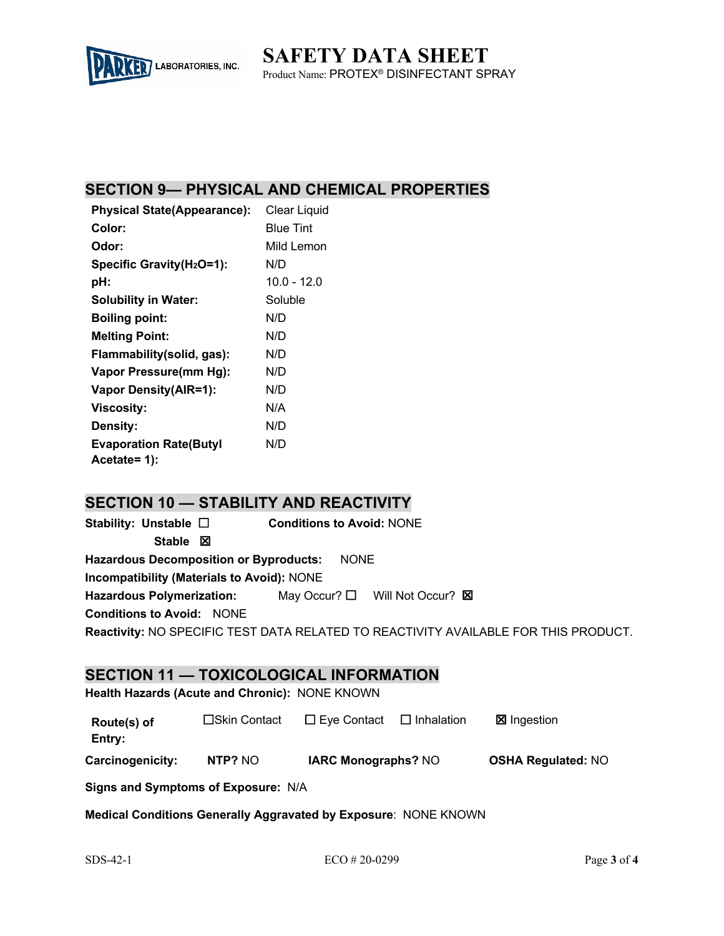

**SAFETY DATA SHEET** Product Name: PROTEX® DISINFECTANT SPRAY

# **SECTION 9— PHYSICAL AND CHEMICAL PROPERTIES**

| <b>Physical State(Appearance):</b>    | <b>Clear Liquid</b> |
|---------------------------------------|---------------------|
| <b>Color:</b>                         | <b>Blue Tint</b>    |
| <b>Odor:</b>                          | Mild Lemon          |
| Specific Gravity(H <sub>2</sub> O=1): | N/D                 |
| pH:                                   | $10.0 - 12.0$       |
| <b>Solubility in Water:</b>           | Soluble             |
| <b>Boiling point:</b>                 | N/D                 |
| <b>Melting Point:</b>                 | N/D                 |
| Flammability (solid, gas):            | N/D                 |
| Vapor Pressure(mm Hg):                | N/D                 |
| <b>Vapor Density(AIR=1):</b>          | N/D                 |
| <b>Viscosity:</b>                     | N/A                 |
| Density:                              | N/D                 |
| <b>Evaporation Rate(Butyl</b>         | N/D                 |
| Acetate= 1):                          |                     |

# **SECTION 10 — STABILITY AND REACTIVITY**

**Stability: Unstable** £ **Conditions to Avoid:** NONE **Stable 図 Hazardous Decomposition or Byproducts:** NONE **Incompatibility (Materials to Avoid):** NONE Hazardous Polymerization: May Occur? □ Will Not Occur? **⊠ Conditions to Avoid:** NONE **Reactivity:** NO SPECIFIC TEST DATA RELATED TO REACTIVITY AVAILABLE FOR THIS PRODUCT.

### **SECTION 11 — TOXICOLOGICAL INFORMATION**

**Health Hazards (Acute and Chronic):** NONE KNOWN

| Route(s) of             | □Skin Contact | $\Box$ Eye Contact         | $\Box$ Inhalation | ⊠ Ingestion               |
|-------------------------|---------------|----------------------------|-------------------|---------------------------|
| Entry:                  |               |                            |                   |                           |
| <b>Carcinogenicity:</b> | NTP? NO       | <b>IARC Monographs? NO</b> |                   | <b>OSHA Regulated: NO</b> |

**Signs and Symptoms of Exposure:** N/A

**Medical Conditions Generally Aggravated by Exposure**: NONE KNOWN